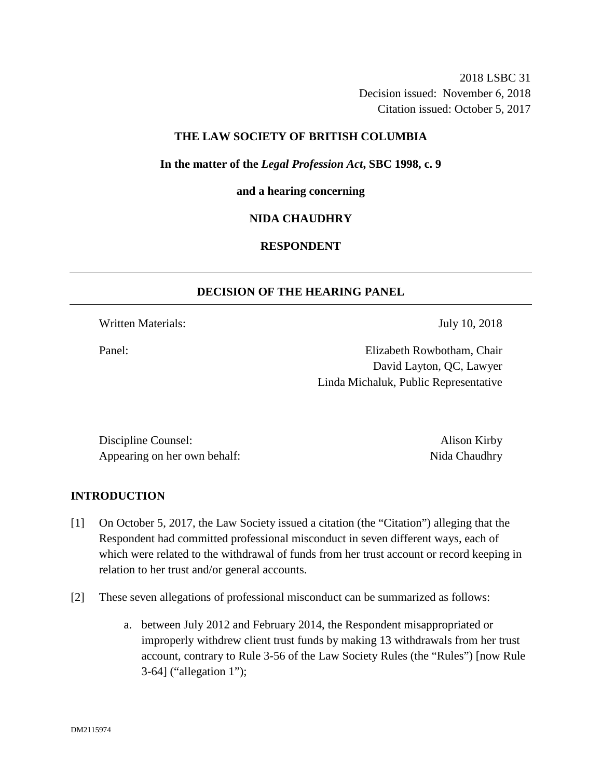2018 LSBC 31 Decision issued: November 6, 2018 Citation issued: October 5, 2017

## **THE LAW SOCIETY OF BRITISH COLUMBIA**

**In the matter of the** *Legal Profession Act***, SBC 1998, c. 9** 

### **and a hearing concerning**

## **NIDA CHAUDHRY**

## **RESPONDENT**

## **DECISION OF THE HEARING PANEL**

Written Materials: July 10, 2018

Panel: Elizabeth Rowbotham, Chair David Layton, QC, Lawyer Linda Michaluk, Public Representative

Discipline Counsel: Alison Kirby Appearing on her own behalf: Nida Chaudhry

### **INTRODUCTION**

- [1] On October 5, 2017, the Law Society issued a citation (the "Citation") alleging that the Respondent had committed professional misconduct in seven different ways, each of which were related to the withdrawal of funds from her trust account or record keeping in relation to her trust and/or general accounts.
- [2] These seven allegations of professional misconduct can be summarized as follows:
	- a. between July 2012 and February 2014, the Respondent misappropriated or improperly withdrew client trust funds by making 13 withdrawals from her trust account, contrary to Rule 3-56 of the Law Society Rules (the "Rules") [now Rule 3-64] ("allegation 1");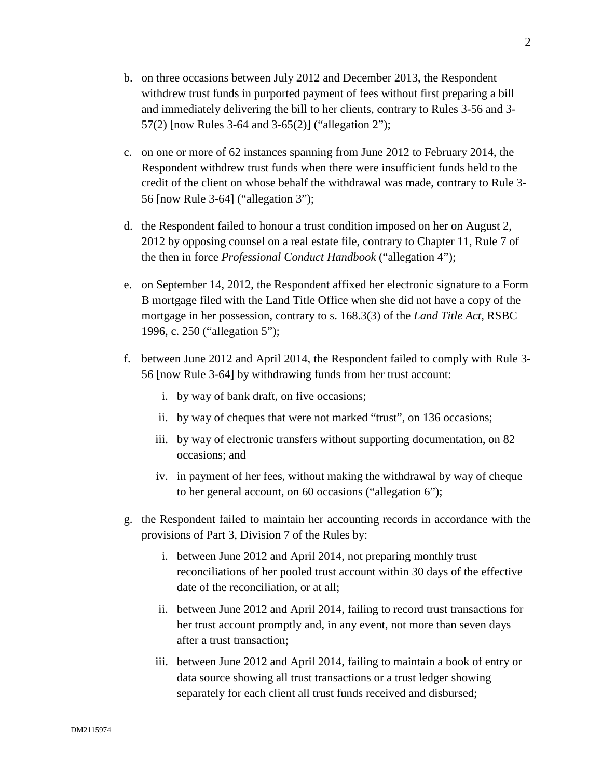- b. on three occasions between July 2012 and December 2013, the Respondent withdrew trust funds in purported payment of fees without first preparing a bill and immediately delivering the bill to her clients, contrary to Rules 3-56 and 3- 57(2) [now Rules 3-64 and 3-65(2)] ("allegation 2");
- c. on one or more of 62 instances spanning from June 2012 to February 2014, the Respondent withdrew trust funds when there were insufficient funds held to the credit of the client on whose behalf the withdrawal was made, contrary to Rule 3- 56 [now Rule 3-64] ("allegation 3");
- d. the Respondent failed to honour a trust condition imposed on her on August 2, 2012 by opposing counsel on a real estate file, contrary to Chapter 11, Rule 7 of the then in force *Professional Conduct Handbook* ("allegation 4");
- e. on September 14, 2012, the Respondent affixed her electronic signature to a Form B mortgage filed with the Land Title Office when she did not have a copy of the mortgage in her possession, contrary to s. 168.3(3) of the *Land Title Act*, RSBC 1996, c. 250 ("allegation 5");
- f. between June 2012 and April 2014, the Respondent failed to comply with Rule 3- 56 [now Rule 3-64] by withdrawing funds from her trust account:
	- i. by way of bank draft, on five occasions;
	- ii. by way of cheques that were not marked "trust", on 136 occasions;
	- iii. by way of electronic transfers without supporting documentation, on 82 occasions; and
	- iv. in payment of her fees, without making the withdrawal by way of cheque to her general account, on 60 occasions ("allegation 6");
- g. the Respondent failed to maintain her accounting records in accordance with the provisions of Part 3, Division 7 of the Rules by:
	- i. between June 2012 and April 2014, not preparing monthly trust reconciliations of her pooled trust account within 30 days of the effective date of the reconciliation, or at all;
	- ii. between June 2012 and April 2014, failing to record trust transactions for her trust account promptly and, in any event, not more than seven days after a trust transaction;
	- iii. between June 2012 and April 2014, failing to maintain a book of entry or data source showing all trust transactions or a trust ledger showing separately for each client all trust funds received and disbursed;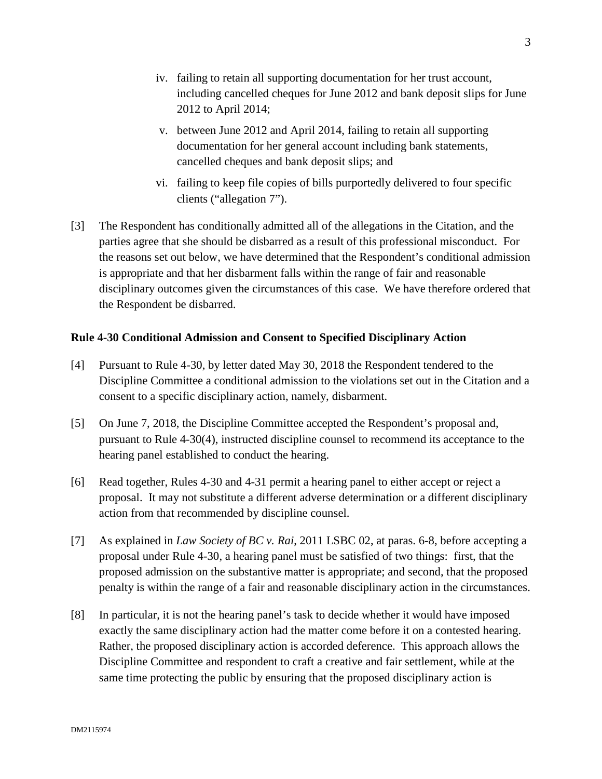- iv. failing to retain all supporting documentation for her trust account, including cancelled cheques for June 2012 and bank deposit slips for June 2012 to April 2014;
- v. between June 2012 and April 2014, failing to retain all supporting documentation for her general account including bank statements, cancelled cheques and bank deposit slips; and
- vi. failing to keep file copies of bills purportedly delivered to four specific clients ("allegation 7").
- [3] The Respondent has conditionally admitted all of the allegations in the Citation, and the parties agree that she should be disbarred as a result of this professional misconduct. For the reasons set out below, we have determined that the Respondent's conditional admission is appropriate and that her disbarment falls within the range of fair and reasonable disciplinary outcomes given the circumstances of this case. We have therefore ordered that the Respondent be disbarred.

## **Rule 4-30 Conditional Admission and Consent to Specified Disciplinary Action**

- [4] Pursuant to Rule 4-30, by letter dated May 30, 2018 the Respondent tendered to the Discipline Committee a conditional admission to the violations set out in the Citation and a consent to a specific disciplinary action, namely, disbarment.
- [5] On June 7, 2018, the Discipline Committee accepted the Respondent's proposal and, pursuant to Rule 4-30(4), instructed discipline counsel to recommend its acceptance to the hearing panel established to conduct the hearing.
- [6] Read together, Rules 4-30 and 4-31 permit a hearing panel to either accept or reject a proposal. It may not substitute a different adverse determination or a different disciplinary action from that recommended by discipline counsel.
- [7] As explained in *Law Society of BC v. Rai*, 2011 LSBC 02, at paras. 6-8, before accepting a proposal under Rule 4-30, a hearing panel must be satisfied of two things: first, that the proposed admission on the substantive matter is appropriate; and second, that the proposed penalty is within the range of a fair and reasonable disciplinary action in the circumstances.
- [8] In particular, it is not the hearing panel's task to decide whether it would have imposed exactly the same disciplinary action had the matter come before it on a contested hearing. Rather, the proposed disciplinary action is accorded deference. This approach allows the Discipline Committee and respondent to craft a creative and fair settlement, while at the same time protecting the public by ensuring that the proposed disciplinary action is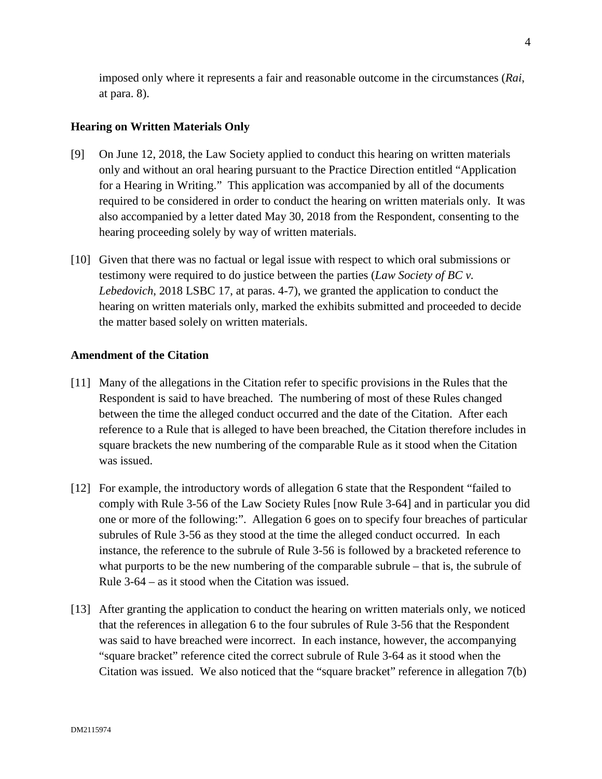imposed only where it represents a fair and reasonable outcome in the circumstances (*Rai*, at para. 8).

## **Hearing on Written Materials Only**

- [9] On June 12, 2018, the Law Society applied to conduct this hearing on written materials only and without an oral hearing pursuant to the Practice Direction entitled "Application for a Hearing in Writing." This application was accompanied by all of the documents required to be considered in order to conduct the hearing on written materials only. It was also accompanied by a letter dated May 30, 2018 from the Respondent, consenting to the hearing proceeding solely by way of written materials.
- [10] Given that there was no factual or legal issue with respect to which oral submissions or testimony were required to do justice between the parties (*Law Society of BC v. Lebedovich*, 2018 LSBC 17, at paras. 4-7), we granted the application to conduct the hearing on written materials only, marked the exhibits submitted and proceeded to decide the matter based solely on written materials.

#### **Amendment of the Citation**

- [11] Many of the allegations in the Citation refer to specific provisions in the Rules that the Respondent is said to have breached. The numbering of most of these Rules changed between the time the alleged conduct occurred and the date of the Citation. After each reference to a Rule that is alleged to have been breached, the Citation therefore includes in square brackets the new numbering of the comparable Rule as it stood when the Citation was issued.
- [12] For example, the introductory words of allegation 6 state that the Respondent "failed to comply with Rule 3-56 of the Law Society Rules [now Rule 3-64] and in particular you did one or more of the following:". Allegation 6 goes on to specify four breaches of particular subrules of Rule 3-56 as they stood at the time the alleged conduct occurred. In each instance, the reference to the subrule of Rule 3-56 is followed by a bracketed reference to what purports to be the new numbering of the comparable subrule – that is, the subrule of Rule 3-64 – as it stood when the Citation was issued.
- [13] After granting the application to conduct the hearing on written materials only, we noticed that the references in allegation 6 to the four subrules of Rule 3-56 that the Respondent was said to have breached were incorrect. In each instance, however, the accompanying "square bracket" reference cited the correct subrule of Rule 3-64 as it stood when the Citation was issued. We also noticed that the "square bracket" reference in allegation 7(b)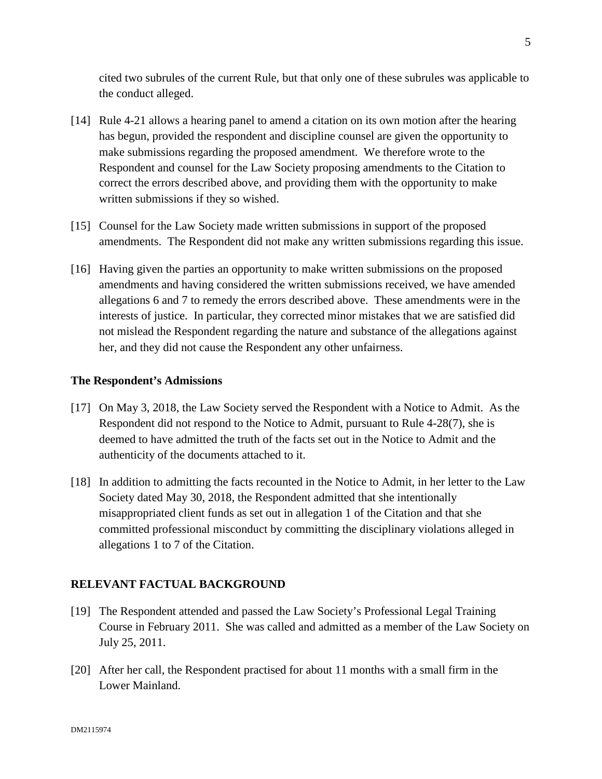cited two subrules of the current Rule, but that only one of these subrules was applicable to the conduct alleged.

- [14] Rule 4-21 allows a hearing panel to amend a citation on its own motion after the hearing has begun, provided the respondent and discipline counsel are given the opportunity to make submissions regarding the proposed amendment. We therefore wrote to the Respondent and counsel for the Law Society proposing amendments to the Citation to correct the errors described above, and providing them with the opportunity to make written submissions if they so wished.
- [15] Counsel for the Law Society made written submissions in support of the proposed amendments. The Respondent did not make any written submissions regarding this issue.
- [16] Having given the parties an opportunity to make written submissions on the proposed amendments and having considered the written submissions received, we have amended allegations 6 and 7 to remedy the errors described above. These amendments were in the interests of justice. In particular, they corrected minor mistakes that we are satisfied did not mislead the Respondent regarding the nature and substance of the allegations against her, and they did not cause the Respondent any other unfairness.

## **The Respondent's Admissions**

- [17] On May 3, 2018, the Law Society served the Respondent with a Notice to Admit. As the Respondent did not respond to the Notice to Admit, pursuant to Rule 4-28(7), she is deemed to have admitted the truth of the facts set out in the Notice to Admit and the authenticity of the documents attached to it.
- [18] In addition to admitting the facts recounted in the Notice to Admit, in her letter to the Law Society dated May 30, 2018, the Respondent admitted that she intentionally misappropriated client funds as set out in allegation 1 of the Citation and that she committed professional misconduct by committing the disciplinary violations alleged in allegations 1 to 7 of the Citation.

## **RELEVANT FACTUAL BACKGROUND**

- [19] The Respondent attended and passed the Law Society's Professional Legal Training Course in February 2011. She was called and admitted as a member of the Law Society on July 25, 2011.
- [20] After her call, the Respondent practised for about 11 months with a small firm in the Lower Mainland.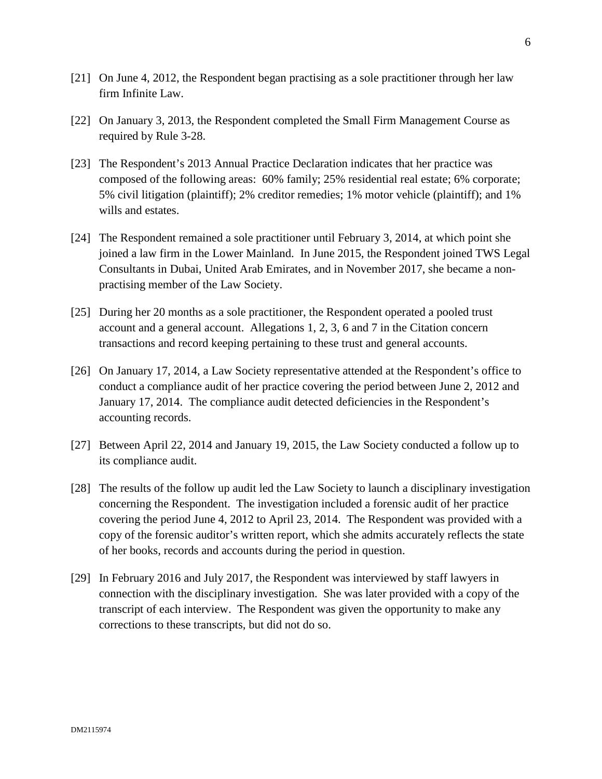- [21] On June 4, 2012, the Respondent began practising as a sole practitioner through her law firm Infinite Law.
- [22] On January 3, 2013, the Respondent completed the Small Firm Management Course as required by Rule 3-28.
- [23] The Respondent's 2013 Annual Practice Declaration indicates that her practice was composed of the following areas: 60% family; 25% residential real estate; 6% corporate; 5% civil litigation (plaintiff); 2% creditor remedies; 1% motor vehicle (plaintiff); and 1% wills and estates.
- [24] The Respondent remained a sole practitioner until February 3, 2014, at which point she joined a law firm in the Lower Mainland. In June 2015, the Respondent joined TWS Legal Consultants in Dubai, United Arab Emirates, and in November 2017, she became a nonpractising member of the Law Society.
- [25] During her 20 months as a sole practitioner, the Respondent operated a pooled trust account and a general account. Allegations 1, 2, 3, 6 and 7 in the Citation concern transactions and record keeping pertaining to these trust and general accounts.
- [26] On January 17, 2014, a Law Society representative attended at the Respondent's office to conduct a compliance audit of her practice covering the period between June 2, 2012 and January 17, 2014. The compliance audit detected deficiencies in the Respondent's accounting records.
- [27] Between April 22, 2014 and January 19, 2015, the Law Society conducted a follow up to its compliance audit.
- [28] The results of the follow up audit led the Law Society to launch a disciplinary investigation concerning the Respondent. The investigation included a forensic audit of her practice covering the period June 4, 2012 to April 23, 2014. The Respondent was provided with a copy of the forensic auditor's written report, which she admits accurately reflects the state of her books, records and accounts during the period in question.
- [29] In February 2016 and July 2017, the Respondent was interviewed by staff lawyers in connection with the disciplinary investigation. She was later provided with a copy of the transcript of each interview. The Respondent was given the opportunity to make any corrections to these transcripts, but did not do so.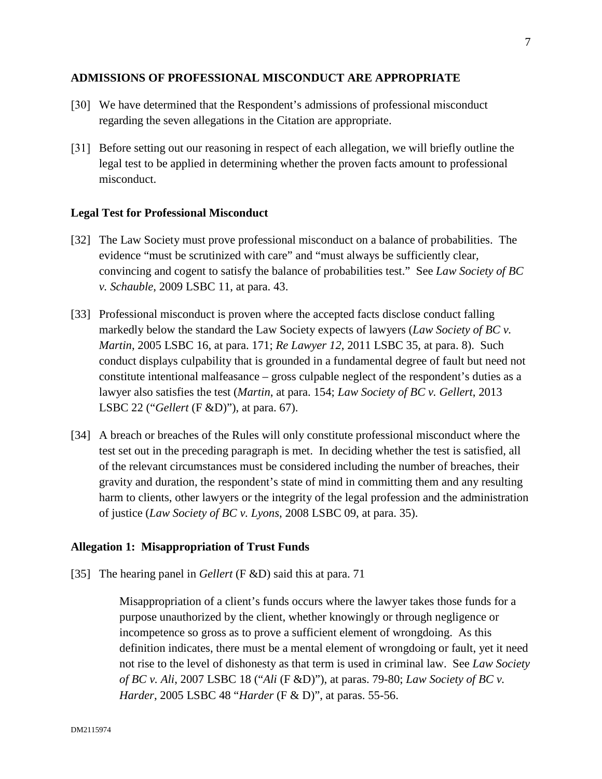## **ADMISSIONS OF PROFESSIONAL MISCONDUCT ARE APPROPRIATE**

- [30] We have determined that the Respondent's admissions of professional misconduct regarding the seven allegations in the Citation are appropriate.
- [31] Before setting out our reasoning in respect of each allegation, we will briefly outline the legal test to be applied in determining whether the proven facts amount to professional misconduct.

## **Legal Test for Professional Misconduct**

- [32] The Law Society must prove professional misconduct on a balance of probabilities. The evidence "must be scrutinized with care" and "must always be sufficiently clear, convincing and cogent to satisfy the balance of probabilities test." See *Law Society of BC v. Schauble*, 2009 LSBC 11, at para. 43.
- [33] Professional misconduct is proven where the accepted facts disclose conduct falling markedly below the standard the Law Society expects of lawyers (*Law Society of BC v. Martin*, 2005 LSBC 16, at para. 171; *Re Lawyer 12*, 2011 LSBC 35, at para. 8). Such conduct displays culpability that is grounded in a fundamental degree of fault but need not constitute intentional malfeasance – gross culpable neglect of the respondent's duties as a lawyer also satisfies the test (*Martin*, at para. 154; *Law Society of BC v. Gellert*, 2013 LSBC 22 ("*Gellert* (F &D)"), at para. 67).
- [34] A breach or breaches of the Rules will only constitute professional misconduct where the test set out in the preceding paragraph is met. In deciding whether the test is satisfied, all of the relevant circumstances must be considered including the number of breaches, their gravity and duration, the respondent's state of mind in committing them and any resulting harm to clients, other lawyers or the integrity of the legal profession and the administration of justice (*Law Society of BC v. Lyons*, 2008 LSBC 09, at para. 35).

### **Allegation 1: Misappropriation of Trust Funds**

[35] The hearing panel in *Gellert* (F &D) said this at para. 71

Misappropriation of a client's funds occurs where the lawyer takes those funds for a purpose unauthorized by the client, whether knowingly or through negligence or incompetence so gross as to prove a sufficient element of wrongdoing. As this definition indicates, there must be a mental element of wrongdoing or fault, yet it need not rise to the level of dishonesty as that term is used in criminal law. See *Law Society of BC v. Ali*, 2007 LSBC 18 ("*Ali* (F &D)"), at paras. 79-80; *Law Society of BC v. Harder*, 2005 LSBC 48 "*Harder* (F & D)", at paras. 55-56.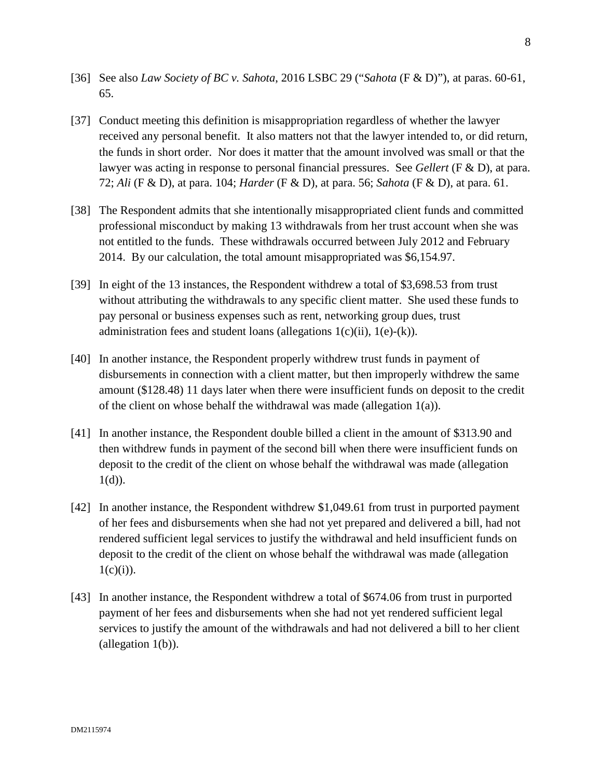- [36] See also *Law Society of BC v. Sahota*, 2016 LSBC 29 ("*Sahota* (F & D)"), at paras. 60-61, 65.
- [37] Conduct meeting this definition is misappropriation regardless of whether the lawyer received any personal benefit. It also matters not that the lawyer intended to, or did return, the funds in short order. Nor does it matter that the amount involved was small or that the lawyer was acting in response to personal financial pressures. See *Gellert* (F & D), at para. 72; *Ali* (F & D), at para. 104; *Harder* (F & D), at para. 56; *Sahota* (F & D), at para. 61.
- [38] The Respondent admits that she intentionally misappropriated client funds and committed professional misconduct by making 13 withdrawals from her trust account when she was not entitled to the funds. These withdrawals occurred between July 2012 and February 2014. By our calculation, the total amount misappropriated was \$6,154.97.
- [39] In eight of the 13 instances, the Respondent withdrew a total of \$3,698.53 from trust without attributing the withdrawals to any specific client matter. She used these funds to pay personal or business expenses such as rent, networking group dues, trust administration fees and student loans (allegations  $1(c)(ii)$ ,  $1(e)-(k)$ ).
- [40] In another instance, the Respondent properly withdrew trust funds in payment of disbursements in connection with a client matter, but then improperly withdrew the same amount (\$128.48) 11 days later when there were insufficient funds on deposit to the credit of the client on whose behalf the withdrawal was made (allegation 1(a)).
- [41] In another instance, the Respondent double billed a client in the amount of \$313.90 and then withdrew funds in payment of the second bill when there were insufficient funds on deposit to the credit of the client on whose behalf the withdrawal was made (allegation  $1(d)$ ).
- [42] In another instance, the Respondent withdrew \$1,049.61 from trust in purported payment of her fees and disbursements when she had not yet prepared and delivered a bill, had not rendered sufficient legal services to justify the withdrawal and held insufficient funds on deposit to the credit of the client on whose behalf the withdrawal was made (allegation  $1(c)(i)$ ).
- [43] In another instance, the Respondent withdrew a total of \$674.06 from trust in purported payment of her fees and disbursements when she had not yet rendered sufficient legal services to justify the amount of the withdrawals and had not delivered a bill to her client (allegation 1(b)).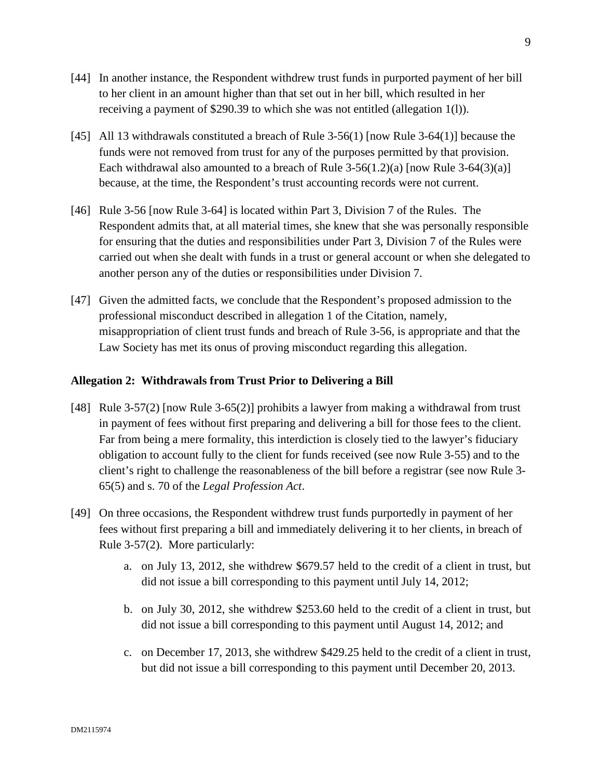- [44] In another instance, the Respondent withdrew trust funds in purported payment of her bill to her client in an amount higher than that set out in her bill, which resulted in her receiving a payment of \$290.39 to which she was not entitled (allegation 1(l)).
- [45] All 13 withdrawals constituted a breach of Rule 3-56(1) [now Rule 3-64(1)] because the funds were not removed from trust for any of the purposes permitted by that provision. Each withdrawal also amounted to a breach of Rule  $3-56(1.2)(a)$  [now Rule  $3-64(3)(a)$ ] because, at the time, the Respondent's trust accounting records were not current.
- [46] Rule 3-56 [now Rule 3-64] is located within Part 3, Division 7 of the Rules. The Respondent admits that, at all material times, she knew that she was personally responsible for ensuring that the duties and responsibilities under Part 3, Division 7 of the Rules were carried out when she dealt with funds in a trust or general account or when she delegated to another person any of the duties or responsibilities under Division 7.
- [47] Given the admitted facts, we conclude that the Respondent's proposed admission to the professional misconduct described in allegation 1 of the Citation, namely, misappropriation of client trust funds and breach of Rule 3-56, is appropriate and that the Law Society has met its onus of proving misconduct regarding this allegation.

## **Allegation 2: Withdrawals from Trust Prior to Delivering a Bill**

- [48] Rule 3-57(2) [now Rule 3-65(2)] prohibits a lawyer from making a withdrawal from trust in payment of fees without first preparing and delivering a bill for those fees to the client. Far from being a mere formality, this interdiction is closely tied to the lawyer's fiduciary obligation to account fully to the client for funds received (see now Rule 3-55) and to the client's right to challenge the reasonableness of the bill before a registrar (see now Rule 3- 65(5) and s. 70 of the *Legal Profession Act*.
- [49] On three occasions, the Respondent withdrew trust funds purportedly in payment of her fees without first preparing a bill and immediately delivering it to her clients, in breach of Rule 3-57(2). More particularly:
	- a. on July 13, 2012, she withdrew \$679.57 held to the credit of a client in trust, but did not issue a bill corresponding to this payment until July 14, 2012;
	- b. on July 30, 2012, she withdrew \$253.60 held to the credit of a client in trust, but did not issue a bill corresponding to this payment until August 14, 2012; and
	- c. on December 17, 2013, she withdrew \$429.25 held to the credit of a client in trust, but did not issue a bill corresponding to this payment until December 20, 2013.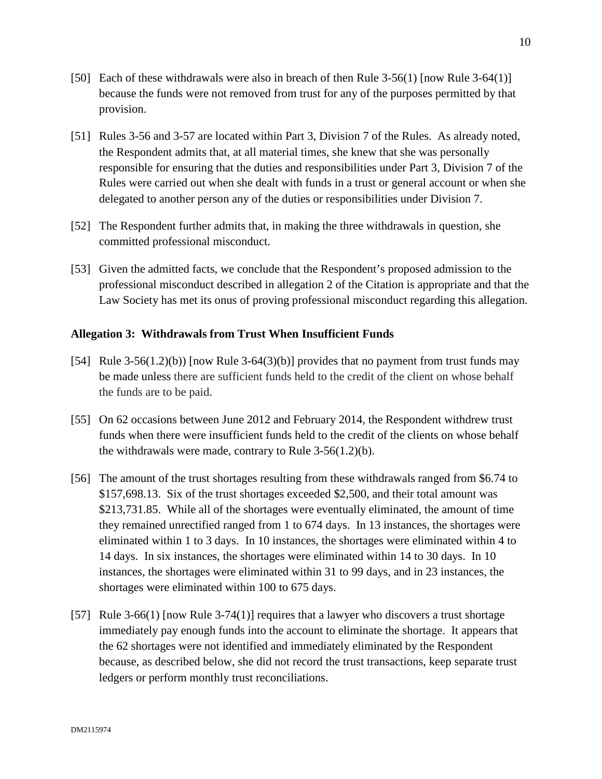- [50] Each of these withdrawals were also in breach of then Rule 3-56(1) [now Rule 3-64(1)] because the funds were not removed from trust for any of the purposes permitted by that provision.
- [51] Rules 3-56 and 3-57 are located within Part 3, Division 7 of the Rules. As already noted, the Respondent admits that, at all material times, she knew that she was personally responsible for ensuring that the duties and responsibilities under Part 3, Division 7 of the Rules were carried out when she dealt with funds in a trust or general account or when she delegated to another person any of the duties or responsibilities under Division 7.
- [52] The Respondent further admits that, in making the three withdrawals in question, she committed professional misconduct.
- [53] Given the admitted facts, we conclude that the Respondent's proposed admission to the professional misconduct described in allegation 2 of the Citation is appropriate and that the Law Society has met its onus of proving professional misconduct regarding this allegation.

## **Allegation 3: Withdrawals from Trust When Insufficient Funds**

- [54] Rule 3-56(1.2)(b)) [now Rule 3-64(3)(b)] provides that no payment from trust funds may be made unless there are sufficient funds held to the credit of the client on whose behalf the funds are to be paid.
- [55] On 62 occasions between June 2012 and February 2014, the Respondent withdrew trust funds when there were insufficient funds held to the credit of the clients on whose behalf the withdrawals were made, contrary to Rule 3-56(1.2)(b).
- [56] The amount of the trust shortages resulting from these withdrawals ranged from \$6.74 to \$157,698.13. Six of the trust shortages exceeded \$2,500, and their total amount was \$213,731.85. While all of the shortages were eventually eliminated, the amount of time they remained unrectified ranged from 1 to 674 days. In 13 instances, the shortages were eliminated within 1 to 3 days. In 10 instances, the shortages were eliminated within 4 to 14 days. In six instances, the shortages were eliminated within 14 to 30 days. In 10 instances, the shortages were eliminated within 31 to 99 days, and in 23 instances, the shortages were eliminated within 100 to 675 days.
- [57] Rule 3-66(1) [now Rule 3-74(1)] requires that a lawyer who discovers a trust shortage immediately pay enough funds into the account to eliminate the shortage. It appears that the 62 shortages were not identified and immediately eliminated by the Respondent because, as described below, she did not record the trust transactions, keep separate trust ledgers or perform monthly trust reconciliations.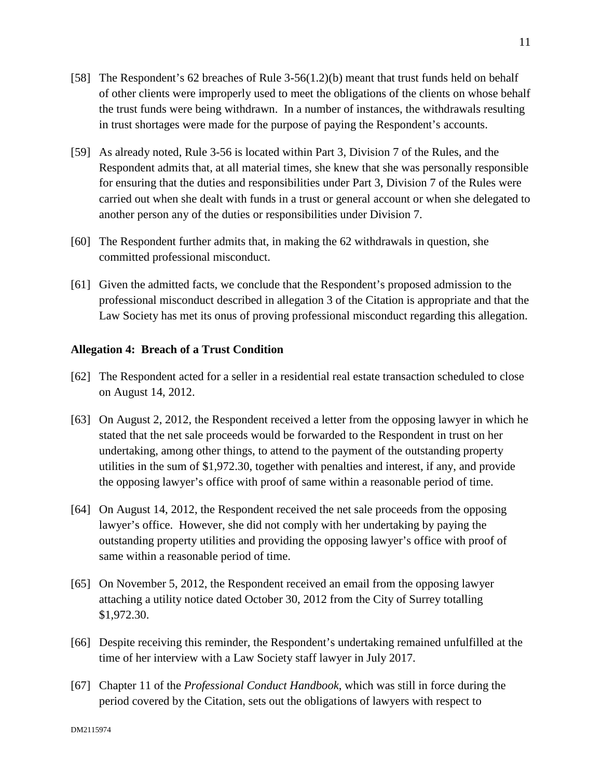- [58] The Respondent's 62 breaches of Rule 3-56(1.2)(b) meant that trust funds held on behalf of other clients were improperly used to meet the obligations of the clients on whose behalf the trust funds were being withdrawn. In a number of instances, the withdrawals resulting in trust shortages were made for the purpose of paying the Respondent's accounts.
- [59] As already noted, Rule 3-56 is located within Part 3, Division 7 of the Rules, and the Respondent admits that, at all material times, she knew that she was personally responsible for ensuring that the duties and responsibilities under Part 3, Division 7 of the Rules were carried out when she dealt with funds in a trust or general account or when she delegated to another person any of the duties or responsibilities under Division 7.
- [60] The Respondent further admits that, in making the 62 withdrawals in question, she committed professional misconduct.
- [61] Given the admitted facts, we conclude that the Respondent's proposed admission to the professional misconduct described in allegation 3 of the Citation is appropriate and that the Law Society has met its onus of proving professional misconduct regarding this allegation.

## **Allegation 4: Breach of a Trust Condition**

- [62] The Respondent acted for a seller in a residential real estate transaction scheduled to close on August 14, 2012.
- [63] On August 2, 2012, the Respondent received a letter from the opposing lawyer in which he stated that the net sale proceeds would be forwarded to the Respondent in trust on her undertaking, among other things, to attend to the payment of the outstanding property utilities in the sum of \$1,972.30, together with penalties and interest, if any, and provide the opposing lawyer's office with proof of same within a reasonable period of time.
- [64] On August 14, 2012, the Respondent received the net sale proceeds from the opposing lawyer's office. However, she did not comply with her undertaking by paying the outstanding property utilities and providing the opposing lawyer's office with proof of same within a reasonable period of time.
- [65] On November 5, 2012, the Respondent received an email from the opposing lawyer attaching a utility notice dated October 30, 2012 from the City of Surrey totalling \$1,972.30.
- [66] Despite receiving this reminder, the Respondent's undertaking remained unfulfilled at the time of her interview with a Law Society staff lawyer in July 2017.
- [67] Chapter 11 of the *Professional Conduct Handbook*, which was still in force during the period covered by the Citation, sets out the obligations of lawyers with respect to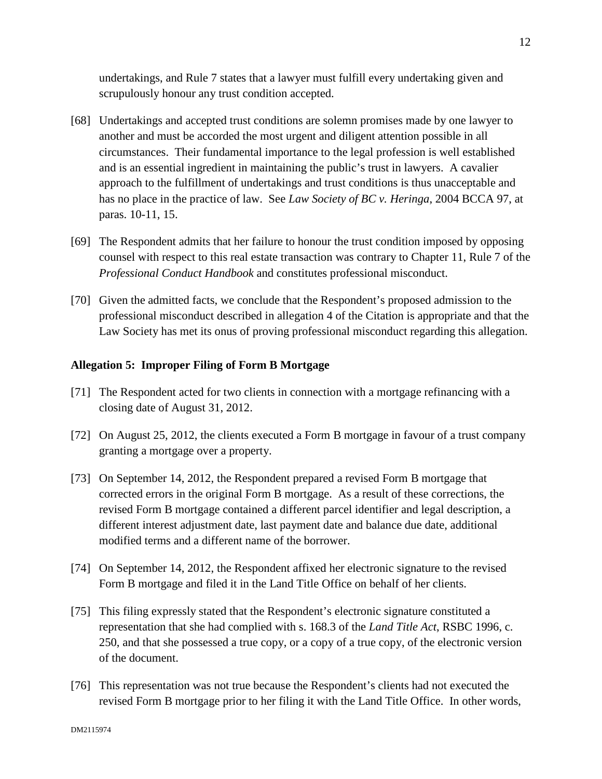undertakings, and Rule 7 states that a lawyer must fulfill every undertaking given and scrupulously honour any trust condition accepted.

- [68] Undertakings and accepted trust conditions are solemn promises made by one lawyer to another and must be accorded the most urgent and diligent attention possible in all circumstances. Their fundamental importance to the legal profession is well established and is an essential ingredient in maintaining the public's trust in lawyers. A cavalier approach to the fulfillment of undertakings and trust conditions is thus unacceptable and has no place in the practice of law. See *Law Society of BC v. Heringa*, 2004 BCCA 97, at paras. 10-11, 15.
- [69] The Respondent admits that her failure to honour the trust condition imposed by opposing counsel with respect to this real estate transaction was contrary to Chapter 11, Rule 7 of the *Professional Conduct Handbook* and constitutes professional misconduct.
- [70] Given the admitted facts, we conclude that the Respondent's proposed admission to the professional misconduct described in allegation 4 of the Citation is appropriate and that the Law Society has met its onus of proving professional misconduct regarding this allegation.

## **Allegation 5: Improper Filing of Form B Mortgage**

- [71] The Respondent acted for two clients in connection with a mortgage refinancing with a closing date of August 31, 2012.
- [72] On August 25, 2012, the clients executed a Form B mortgage in favour of a trust company granting a mortgage over a property.
- [73] On September 14, 2012, the Respondent prepared a revised Form B mortgage that corrected errors in the original Form B mortgage. As a result of these corrections, the revised Form B mortgage contained a different parcel identifier and legal description, a different interest adjustment date, last payment date and balance due date, additional modified terms and a different name of the borrower.
- [74] On September 14, 2012, the Respondent affixed her electronic signature to the revised Form B mortgage and filed it in the Land Title Office on behalf of her clients.
- [75] This filing expressly stated that the Respondent's electronic signature constituted a representation that she had complied with s. 168.3 of the *Land Title Act*, RSBC 1996, c. 250, and that she possessed a true copy, or a copy of a true copy, of the electronic version of the document.
- [76] This representation was not true because the Respondent's clients had not executed the revised Form B mortgage prior to her filing it with the Land Title Office. In other words,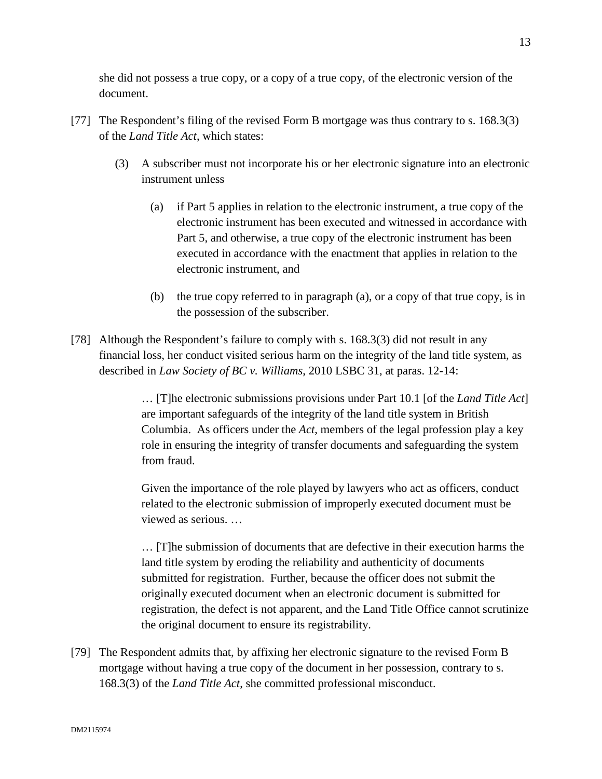she did not possess a true copy, or a copy of a true copy, of the electronic version of the document.

- [77] The Respondent's filing of the revised Form B mortgage was thus contrary to s. 168.3(3) of the *Land Title Act*, which states:
	- (3) A subscriber must not incorporate his or her electronic signature into an electronic instrument unless
		- (a) if Part 5 applies in relation to the electronic instrument, a true copy of the electronic instrument has been executed and witnessed in accordance with Part 5, and otherwise, a true copy of the electronic instrument has been executed in accordance with the enactment that applies in relation to the electronic instrument, and
		- (b) the true copy referred to in paragraph (a), or a copy of that true copy, is in the possession of the subscriber.
- [78] Although the Respondent's failure to comply with s. 168.3(3) did not result in any financial loss, her conduct visited serious harm on the integrity of the land title system, as described in *Law Society of BC v. Williams*, 2010 LSBC 31, at paras. 12-14:

… [T]he electronic submissions provisions under Part 10.1 [of the *Land Title Act*] are important safeguards of the integrity of the land title system in British Columbia. As officers under the *Act*, members of the legal profession play a key role in ensuring the integrity of transfer documents and safeguarding the system from fraud.

Given the importance of the role played by lawyers who act as officers, conduct related to the electronic submission of improperly executed document must be viewed as serious. …

… [T]he submission of documents that are defective in their execution harms the land title system by eroding the reliability and authenticity of documents submitted for registration. Further, because the officer does not submit the originally executed document when an electronic document is submitted for registration, the defect is not apparent, and the Land Title Office cannot scrutinize the original document to ensure its registrability.

[79] The Respondent admits that, by affixing her electronic signature to the revised Form B mortgage without having a true copy of the document in her possession, contrary to s. 168.3(3) of the *Land Title Act*, she committed professional misconduct.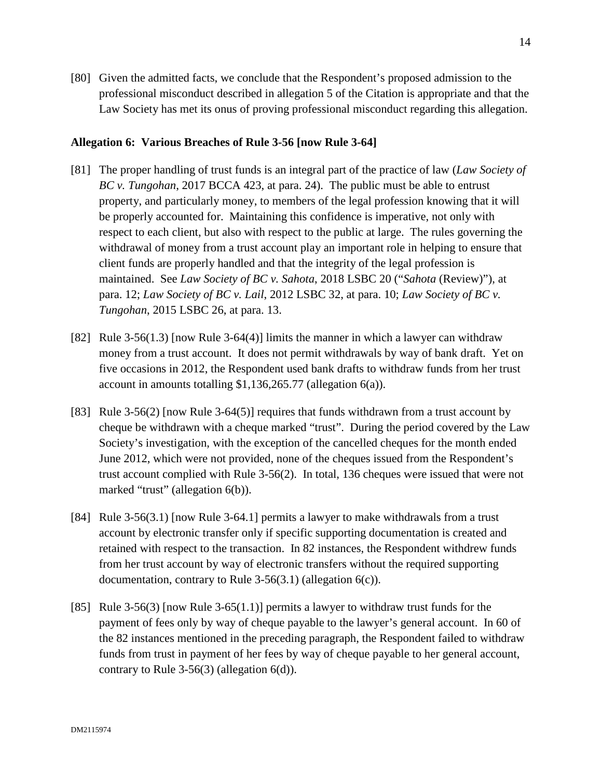[80] Given the admitted facts, we conclude that the Respondent's proposed admission to the professional misconduct described in allegation 5 of the Citation is appropriate and that the Law Society has met its onus of proving professional misconduct regarding this allegation.

## **Allegation 6: Various Breaches of Rule 3-56 [now Rule 3-64]**

- [81] The proper handling of trust funds is an integral part of the practice of law (*Law Society of BC v. Tungohan*, 2017 BCCA 423, at para. 24). The public must be able to entrust property, and particularly money, to members of the legal profession knowing that it will be properly accounted for. Maintaining this confidence is imperative, not only with respect to each client, but also with respect to the public at large. The rules governing the withdrawal of money from a trust account play an important role in helping to ensure that client funds are properly handled and that the integrity of the legal profession is maintained. See *Law Society of BC v. Sahota*, 2018 LSBC 20 ("*Sahota* (Review)"), at para. 12; *Law Society of BC v. Lail*, 2012 LSBC 32, at para. 10; *Law Society of BC v. Tungohan*, 2015 LSBC 26, at para. 13.
- [82] Rule 3-56(1.3) [now Rule 3-64(4)] limits the manner in which a lawyer can withdraw money from a trust account. It does not permit withdrawals by way of bank draft. Yet on five occasions in 2012, the Respondent used bank drafts to withdraw funds from her trust account in amounts totalling \$1,136,265.77 (allegation 6(a)).
- [83] Rule 3-56(2) [now Rule 3-64(5)] requires that funds withdrawn from a trust account by cheque be withdrawn with a cheque marked "trust". During the period covered by the Law Society's investigation, with the exception of the cancelled cheques for the month ended June 2012, which were not provided, none of the cheques issued from the Respondent's trust account complied with Rule 3-56(2). In total, 136 cheques were issued that were not marked "trust" (allegation 6(b)).
- [84] Rule 3-56(3.1) [now Rule 3-64.1] permits a lawyer to make withdrawals from a trust account by electronic transfer only if specific supporting documentation is created and retained with respect to the transaction. In 82 instances, the Respondent withdrew funds from her trust account by way of electronic transfers without the required supporting documentation, contrary to Rule 3-56(3.1) (allegation 6(c)).
- [85] Rule 3-56(3) [now Rule 3-65(1.1)] permits a lawyer to withdraw trust funds for the payment of fees only by way of cheque payable to the lawyer's general account. In 60 of the 82 instances mentioned in the preceding paragraph, the Respondent failed to withdraw funds from trust in payment of her fees by way of cheque payable to her general account, contrary to Rule 3-56(3) (allegation 6(d)).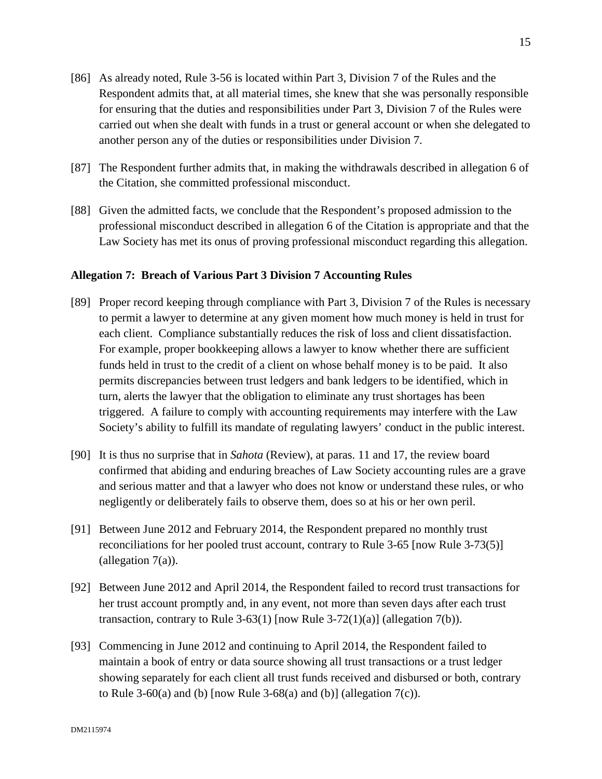- [86] As already noted, Rule 3-56 is located within Part 3, Division 7 of the Rules and the Respondent admits that, at all material times, she knew that she was personally responsible for ensuring that the duties and responsibilities under Part 3, Division 7 of the Rules were carried out when she dealt with funds in a trust or general account or when she delegated to another person any of the duties or responsibilities under Division 7.
- [87] The Respondent further admits that, in making the withdrawals described in allegation 6 of the Citation, she committed professional misconduct.
- [88] Given the admitted facts, we conclude that the Respondent's proposed admission to the professional misconduct described in allegation 6 of the Citation is appropriate and that the Law Society has met its onus of proving professional misconduct regarding this allegation.

### **Allegation 7: Breach of Various Part 3 Division 7 Accounting Rules**

- [89] Proper record keeping through compliance with Part 3, Division 7 of the Rules is necessary to permit a lawyer to determine at any given moment how much money is held in trust for each client. Compliance substantially reduces the risk of loss and client dissatisfaction. For example, proper bookkeeping allows a lawyer to know whether there are sufficient funds held in trust to the credit of a client on whose behalf money is to be paid. It also permits discrepancies between trust ledgers and bank ledgers to be identified, which in turn, alerts the lawyer that the obligation to eliminate any trust shortages has been triggered. A failure to comply with accounting requirements may interfere with the Law Society's ability to fulfill its mandate of regulating lawyers' conduct in the public interest.
- [90] It is thus no surprise that in *Sahota* (Review), at paras. 11 and 17, the review board confirmed that abiding and enduring breaches of Law Society accounting rules are a grave and serious matter and that a lawyer who does not know or understand these rules, or who negligently or deliberately fails to observe them, does so at his or her own peril.
- [91] Between June 2012 and February 2014, the Respondent prepared no monthly trust reconciliations for her pooled trust account, contrary to Rule 3-65 [now Rule 3-73(5)] (allegation  $7(a)$ ).
- [92] Between June 2012 and April 2014, the Respondent failed to record trust transactions for her trust account promptly and, in any event, not more than seven days after each trust transaction, contrary to Rule 3-63(1) [now Rule 3-72(1)(a)] (allegation 7(b)).
- [93] Commencing in June 2012 and continuing to April 2014, the Respondent failed to maintain a book of entry or data source showing all trust transactions or a trust ledger showing separately for each client all trust funds received and disbursed or both, contrary to Rule 3-60(a) and (b)  $[now Rule 3-68(a) and (b)]$  (allegation  $7(c)$ ).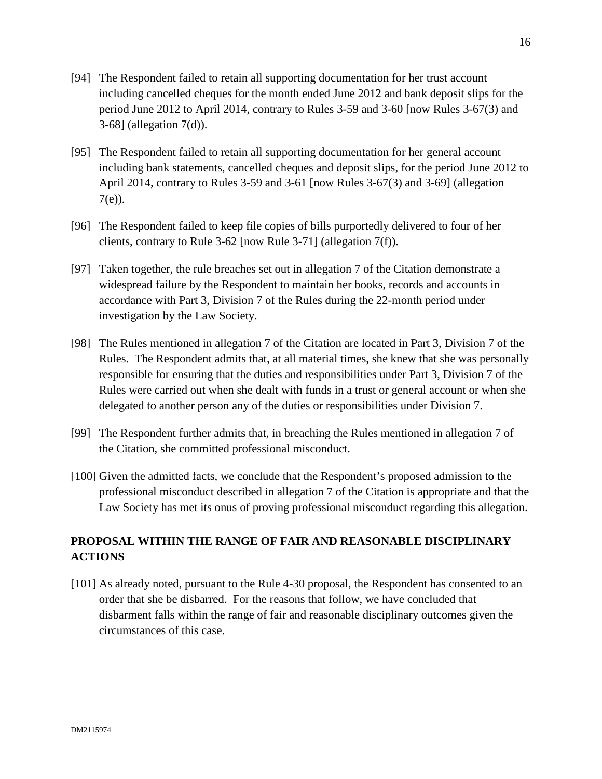- [94] The Respondent failed to retain all supporting documentation for her trust account including cancelled cheques for the month ended June 2012 and bank deposit slips for the period June 2012 to April 2014, contrary to Rules 3-59 and 3-60 [now Rules 3-67(3) and 3-68] (allegation 7(d)).
- [95] The Respondent failed to retain all supporting documentation for her general account including bank statements, cancelled cheques and deposit slips, for the period June 2012 to April 2014, contrary to Rules 3-59 and 3-61 [now Rules 3-67(3) and 3-69] (allegation 7(e)).
- [96] The Respondent failed to keep file copies of bills purportedly delivered to four of her clients, contrary to Rule 3-62 [now Rule 3-71] (allegation 7(f)).
- [97] Taken together, the rule breaches set out in allegation 7 of the Citation demonstrate a widespread failure by the Respondent to maintain her books, records and accounts in accordance with Part 3, Division 7 of the Rules during the 22-month period under investigation by the Law Society.
- [98] The Rules mentioned in allegation 7 of the Citation are located in Part 3, Division 7 of the Rules. The Respondent admits that, at all material times, she knew that she was personally responsible for ensuring that the duties and responsibilities under Part 3, Division 7 of the Rules were carried out when she dealt with funds in a trust or general account or when she delegated to another person any of the duties or responsibilities under Division 7.
- [99] The Respondent further admits that, in breaching the Rules mentioned in allegation 7 of the Citation, she committed professional misconduct.
- [100] Given the admitted facts, we conclude that the Respondent's proposed admission to the professional misconduct described in allegation 7 of the Citation is appropriate and that the Law Society has met its onus of proving professional misconduct regarding this allegation.

# **PROPOSAL WITHIN THE RANGE OF FAIR AND REASONABLE DISCIPLINARY ACTIONS**

[101] As already noted, pursuant to the Rule 4-30 proposal, the Respondent has consented to an order that she be disbarred. For the reasons that follow, we have concluded that disbarment falls within the range of fair and reasonable disciplinary outcomes given the circumstances of this case.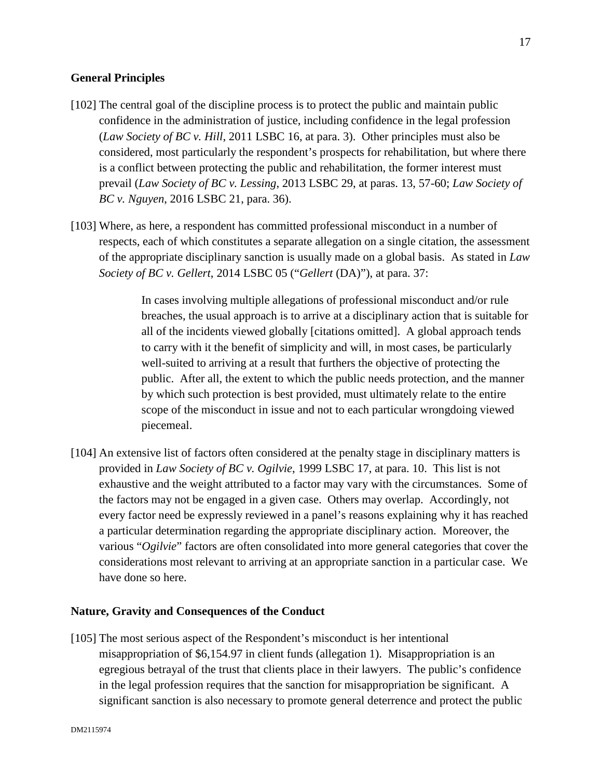## **General Principles**

- [102] The central goal of the discipline process is to protect the public and maintain public confidence in the administration of justice, including confidence in the legal profession (*Law Society of BC v. Hill*, 2011 LSBC 16, at para. 3). Other principles must also be considered, most particularly the respondent's prospects for rehabilitation, but where there is a conflict between protecting the public and rehabilitation, the former interest must prevail (*Law Society of BC v. Lessing*, 2013 LSBC 29, at paras. 13, 57-60; *Law Society of BC v. Nguyen*, 2016 LSBC 21, para. 36).
- [103] Where, as here, a respondent has committed professional misconduct in a number of respects, each of which constitutes a separate allegation on a single citation, the assessment of the appropriate disciplinary sanction is usually made on a global basis. As stated in *Law Society of BC v. Gellert*, 2014 LSBC 05 ("*Gellert* (DA)"), at para. 37:

In cases involving multiple allegations of professional misconduct and/or rule breaches, the usual approach is to arrive at a disciplinary action that is suitable for all of the incidents viewed globally [citations omitted]. A global approach tends to carry with it the benefit of simplicity and will, in most cases, be particularly well-suited to arriving at a result that furthers the objective of protecting the public. After all, the extent to which the public needs protection, and the manner by which such protection is best provided, must ultimately relate to the entire scope of the misconduct in issue and not to each particular wrongdoing viewed piecemeal.

[104] An extensive list of factors often considered at the penalty stage in disciplinary matters is provided in *Law Society of BC v. Ogilvie*, 1999 LSBC 17, at para. 10. This list is not exhaustive and the weight attributed to a factor may vary with the circumstances. Some of the factors may not be engaged in a given case. Others may overlap. Accordingly, not every factor need be expressly reviewed in a panel's reasons explaining why it has reached a particular determination regarding the appropriate disciplinary action. Moreover, the various "*Ogilvie*" factors are often consolidated into more general categories that cover the considerations most relevant to arriving at an appropriate sanction in a particular case. We have done so here.

## **Nature, Gravity and Consequences of the Conduct**

[105] The most serious aspect of the Respondent's misconduct is her intentional misappropriation of \$6,154.97 in client funds (allegation 1). Misappropriation is an egregious betrayal of the trust that clients place in their lawyers. The public's confidence in the legal profession requires that the sanction for misappropriation be significant. A significant sanction is also necessary to promote general deterrence and protect the public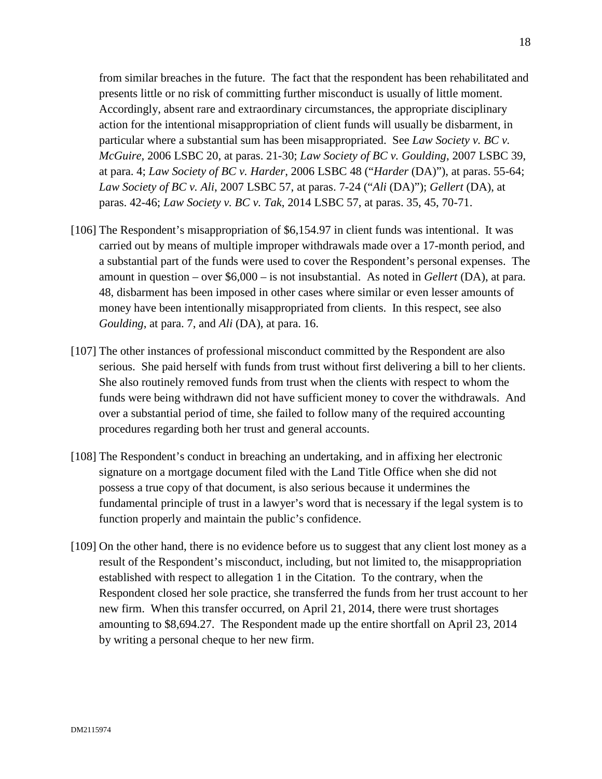from similar breaches in the future. The fact that the respondent has been rehabilitated and presents little or no risk of committing further misconduct is usually of little moment. Accordingly, absent rare and extraordinary circumstances, the appropriate disciplinary action for the intentional misappropriation of client funds will usually be disbarment, in particular where a substantial sum has been misappropriated. See *Law Society v. BC v. McGuire*, 2006 LSBC 20, at paras. 21-30; *Law Society of BC v. Goulding*, 2007 LSBC 39, at para. 4; *Law Society of BC v. Harder*, 2006 LSBC 48 ("*Harder* (DA)"), at paras. 55-64; *Law Society of BC v. Ali*, 2007 LSBC 57, at paras. 7-24 ("*Ali* (DA)"); *Gellert* (DA), at paras. 42-46; *Law Society v. BC v. Tak*, 2014 LSBC 57, at paras. 35, 45, 70-71.

- [106] The Respondent's misappropriation of \$6,154.97 in client funds was intentional. It was carried out by means of multiple improper withdrawals made over a 17-month period, and a substantial part of the funds were used to cover the Respondent's personal expenses. The amount in question – over \$6,000 – is not insubstantial. As noted in *Gellert* (DA), at para. 48, disbarment has been imposed in other cases where similar or even lesser amounts of money have been intentionally misappropriated from clients. In this respect, see also *Goulding*, at para. 7, and *Ali* (DA), at para. 16.
- [107] The other instances of professional misconduct committed by the Respondent are also serious. She paid herself with funds from trust without first delivering a bill to her clients. She also routinely removed funds from trust when the clients with respect to whom the funds were being withdrawn did not have sufficient money to cover the withdrawals. And over a substantial period of time, she failed to follow many of the required accounting procedures regarding both her trust and general accounts.
- [108] The Respondent's conduct in breaching an undertaking, and in affixing her electronic signature on a mortgage document filed with the Land Title Office when she did not possess a true copy of that document, is also serious because it undermines the fundamental principle of trust in a lawyer's word that is necessary if the legal system is to function properly and maintain the public's confidence.
- [109] On the other hand, there is no evidence before us to suggest that any client lost money as a result of the Respondent's misconduct, including, but not limited to, the misappropriation established with respect to allegation 1 in the Citation. To the contrary, when the Respondent closed her sole practice, she transferred the funds from her trust account to her new firm. When this transfer occurred, on April 21, 2014, there were trust shortages amounting to \$8,694.27. The Respondent made up the entire shortfall on April 23, 2014 by writing a personal cheque to her new firm.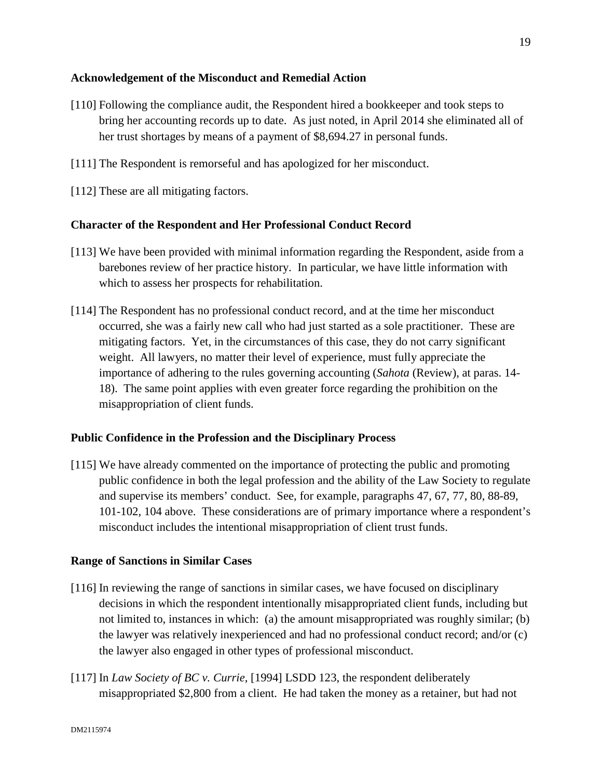## **Acknowledgement of the Misconduct and Remedial Action**

- [110] Following the compliance audit, the Respondent hired a bookkeeper and took steps to bring her accounting records up to date. As just noted, in April 2014 she eliminated all of her trust shortages by means of a payment of \$8,694.27 in personal funds.
- [111] The Respondent is remorseful and has apologized for her misconduct.
- [112] These are all mitigating factors.

## **Character of the Respondent and Her Professional Conduct Record**

- [113] We have been provided with minimal information regarding the Respondent, aside from a barebones review of her practice history. In particular, we have little information with which to assess her prospects for rehabilitation.
- [114] The Respondent has no professional conduct record, and at the time her misconduct occurred, she was a fairly new call who had just started as a sole practitioner. These are mitigating factors. Yet, in the circumstances of this case, they do not carry significant weight. All lawyers, no matter their level of experience, must fully appreciate the importance of adhering to the rules governing accounting (*Sahota* (Review), at paras. 14- 18). The same point applies with even greater force regarding the prohibition on the misappropriation of client funds.

## **Public Confidence in the Profession and the Disciplinary Process**

[115] We have already commented on the importance of protecting the public and promoting public confidence in both the legal profession and the ability of the Law Society to regulate and supervise its members' conduct. See, for example, paragraphs 47, 67, 77, 80, 88-89, 101-102, 104 above. These considerations are of primary importance where a respondent's misconduct includes the intentional misappropriation of client trust funds.

## **Range of Sanctions in Similar Cases**

- [116] In reviewing the range of sanctions in similar cases, we have focused on disciplinary decisions in which the respondent intentionally misappropriated client funds, including but not limited to, instances in which: (a) the amount misappropriated was roughly similar; (b) the lawyer was relatively inexperienced and had no professional conduct record; and/or (c) the lawyer also engaged in other types of professional misconduct.
- [117] In *Law Society of BC v. Currie*, [1994] LSDD 123, the respondent deliberately misappropriated \$2,800 from a client. He had taken the money as a retainer, but had not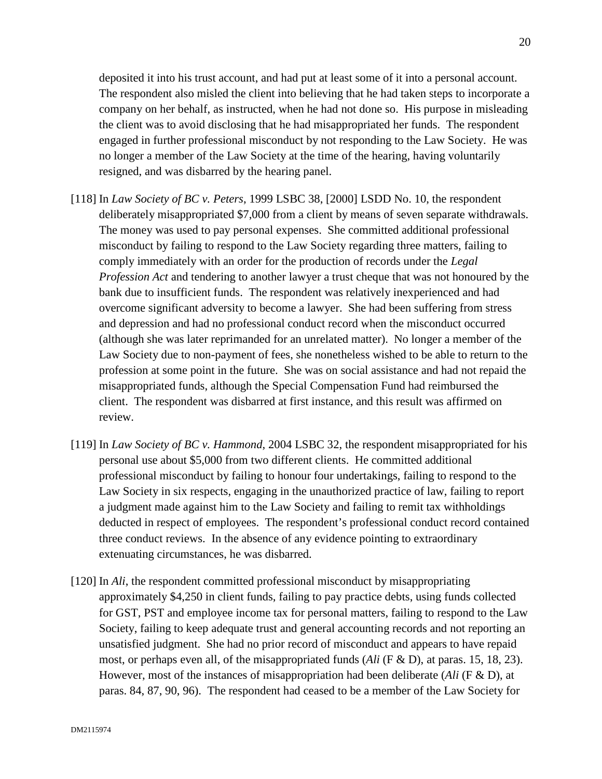deposited it into his trust account, and had put at least some of it into a personal account. The respondent also misled the client into believing that he had taken steps to incorporate a company on her behalf, as instructed, when he had not done so. His purpose in misleading the client was to avoid disclosing that he had misappropriated her funds. The respondent engaged in further professional misconduct by not responding to the Law Society. He was no longer a member of the Law Society at the time of the hearing, having voluntarily resigned, and was disbarred by the hearing panel.

- [118] In *Law Society of BC v. Peters*, 1999 LSBC 38, [2000] LSDD No. 10, the respondent deliberately misappropriated \$7,000 from a client by means of seven separate withdrawals. The money was used to pay personal expenses. She committed additional professional misconduct by failing to respond to the Law Society regarding three matters, failing to comply immediately with an order for the production of records under the *Legal Profession Act* and tendering to another lawyer a trust cheque that was not honoured by the bank due to insufficient funds. The respondent was relatively inexperienced and had overcome significant adversity to become a lawyer. She had been suffering from stress and depression and had no professional conduct record when the misconduct occurred (although she was later reprimanded for an unrelated matter). No longer a member of the Law Society due to non-payment of fees, she nonetheless wished to be able to return to the profession at some point in the future. She was on social assistance and had not repaid the misappropriated funds, although the Special Compensation Fund had reimbursed the client. The respondent was disbarred at first instance, and this result was affirmed on review.
- [119] In *Law Society of BC v. Hammond*, 2004 LSBC 32, the respondent misappropriated for his personal use about \$5,000 from two different clients. He committed additional professional misconduct by failing to honour four undertakings, failing to respond to the Law Society in six respects, engaging in the unauthorized practice of law, failing to report a judgment made against him to the Law Society and failing to remit tax withholdings deducted in respect of employees. The respondent's professional conduct record contained three conduct reviews. In the absence of any evidence pointing to extraordinary extenuating circumstances, he was disbarred.
- [120] In *Ali*, the respondent committed professional misconduct by misappropriating approximately \$4,250 in client funds, failing to pay practice debts, using funds collected for GST, PST and employee income tax for personal matters, failing to respond to the Law Society, failing to keep adequate trust and general accounting records and not reporting an unsatisfied judgment. She had no prior record of misconduct and appears to have repaid most, or perhaps even all, of the misappropriated funds (*Ali* (F & D), at paras. 15, 18, 23). However, most of the instances of misappropriation had been deliberate (*Ali* (F & D), at paras. 84, 87, 90, 96). The respondent had ceased to be a member of the Law Society for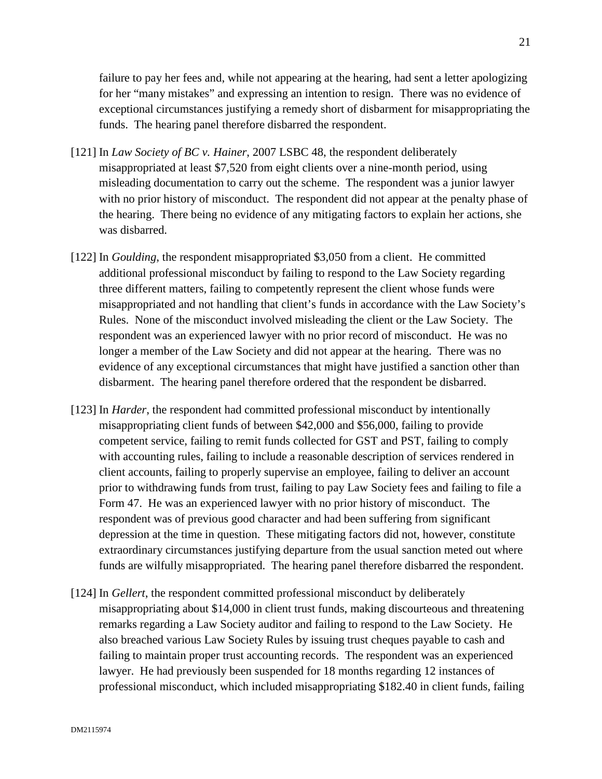failure to pay her fees and, while not appearing at the hearing, had sent a letter apologizing for her "many mistakes" and expressing an intention to resign. There was no evidence of exceptional circumstances justifying a remedy short of disbarment for misappropriating the funds. The hearing panel therefore disbarred the respondent.

- [121] In *Law Society of BC v. Hainer*, 2007 LSBC 48, the respondent deliberately misappropriated at least \$7,520 from eight clients over a nine-month period, using misleading documentation to carry out the scheme. The respondent was a junior lawyer with no prior history of misconduct. The respondent did not appear at the penalty phase of the hearing. There being no evidence of any mitigating factors to explain her actions, she was disbarred.
- [122] In *Goulding*, the respondent misappropriated \$3,050 from a client. He committed additional professional misconduct by failing to respond to the Law Society regarding three different matters, failing to competently represent the client whose funds were misappropriated and not handling that client's funds in accordance with the Law Society's Rules. None of the misconduct involved misleading the client or the Law Society. The respondent was an experienced lawyer with no prior record of misconduct. He was no longer a member of the Law Society and did not appear at the hearing. There was no evidence of any exceptional circumstances that might have justified a sanction other than disbarment. The hearing panel therefore ordered that the respondent be disbarred.
- [123] In *Harder*, the respondent had committed professional misconduct by intentionally misappropriating client funds of between \$42,000 and \$56,000, failing to provide competent service, failing to remit funds collected for GST and PST, failing to comply with accounting rules, failing to include a reasonable description of services rendered in client accounts, failing to properly supervise an employee, failing to deliver an account prior to withdrawing funds from trust, failing to pay Law Society fees and failing to file a Form 47. He was an experienced lawyer with no prior history of misconduct. The respondent was of previous good character and had been suffering from significant depression at the time in question. These mitigating factors did not, however, constitute extraordinary circumstances justifying departure from the usual sanction meted out where funds are wilfully misappropriated. The hearing panel therefore disbarred the respondent.
- [124] In *Gellert*, the respondent committed professional misconduct by deliberately misappropriating about \$14,000 in client trust funds, making discourteous and threatening remarks regarding a Law Society auditor and failing to respond to the Law Society. He also breached various Law Society Rules by issuing trust cheques payable to cash and failing to maintain proper trust accounting records. The respondent was an experienced lawyer. He had previously been suspended for 18 months regarding 12 instances of professional misconduct, which included misappropriating \$182.40 in client funds, failing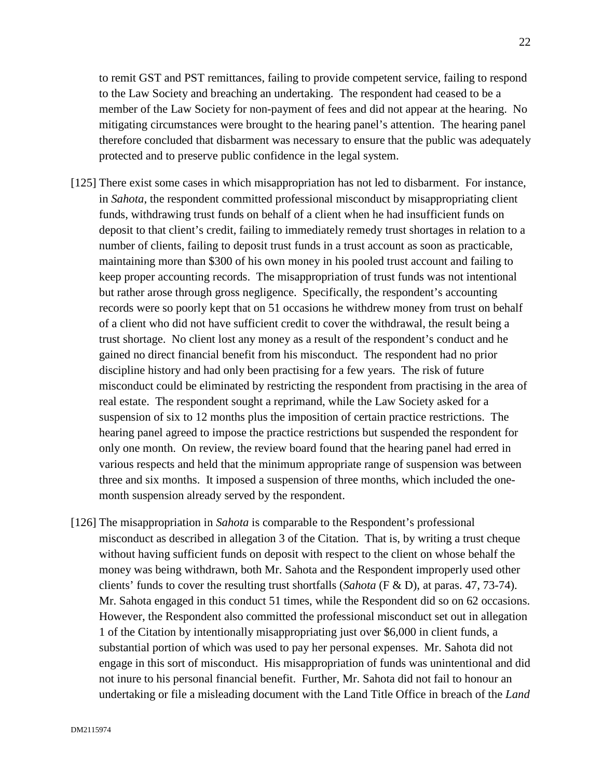to remit GST and PST remittances, failing to provide competent service, failing to respond to the Law Society and breaching an undertaking. The respondent had ceased to be a member of the Law Society for non-payment of fees and did not appear at the hearing. No mitigating circumstances were brought to the hearing panel's attention. The hearing panel therefore concluded that disbarment was necessary to ensure that the public was adequately protected and to preserve public confidence in the legal system.

- [125] There exist some cases in which misappropriation has not led to disbarment. For instance, in *Sahota*, the respondent committed professional misconduct by misappropriating client funds, withdrawing trust funds on behalf of a client when he had insufficient funds on deposit to that client's credit, failing to immediately remedy trust shortages in relation to a number of clients, failing to deposit trust funds in a trust account as soon as practicable, maintaining more than \$300 of his own money in his pooled trust account and failing to keep proper accounting records. The misappropriation of trust funds was not intentional but rather arose through gross negligence. Specifically, the respondent's accounting records were so poorly kept that on 51 occasions he withdrew money from trust on behalf of a client who did not have sufficient credit to cover the withdrawal, the result being a trust shortage. No client lost any money as a result of the respondent's conduct and he gained no direct financial benefit from his misconduct. The respondent had no prior discipline history and had only been practising for a few years. The risk of future misconduct could be eliminated by restricting the respondent from practising in the area of real estate. The respondent sought a reprimand, while the Law Society asked for a suspension of six to 12 months plus the imposition of certain practice restrictions. The hearing panel agreed to impose the practice restrictions but suspended the respondent for only one month. On review, the review board found that the hearing panel had erred in various respects and held that the minimum appropriate range of suspension was between three and six months. It imposed a suspension of three months, which included the onemonth suspension already served by the respondent.
- [126] The misappropriation in *Sahota* is comparable to the Respondent's professional misconduct as described in allegation 3 of the Citation. That is, by writing a trust cheque without having sufficient funds on deposit with respect to the client on whose behalf the money was being withdrawn, both Mr. Sahota and the Respondent improperly used other clients' funds to cover the resulting trust shortfalls (*Sahota* (F & D), at paras. 47, 73-74). Mr. Sahota engaged in this conduct 51 times, while the Respondent did so on 62 occasions. However, the Respondent also committed the professional misconduct set out in allegation 1 of the Citation by intentionally misappropriating just over \$6,000 in client funds, a substantial portion of which was used to pay her personal expenses. Mr. Sahota did not engage in this sort of misconduct. His misappropriation of funds was unintentional and did not inure to his personal financial benefit. Further, Mr. Sahota did not fail to honour an undertaking or file a misleading document with the Land Title Office in breach of the *Land*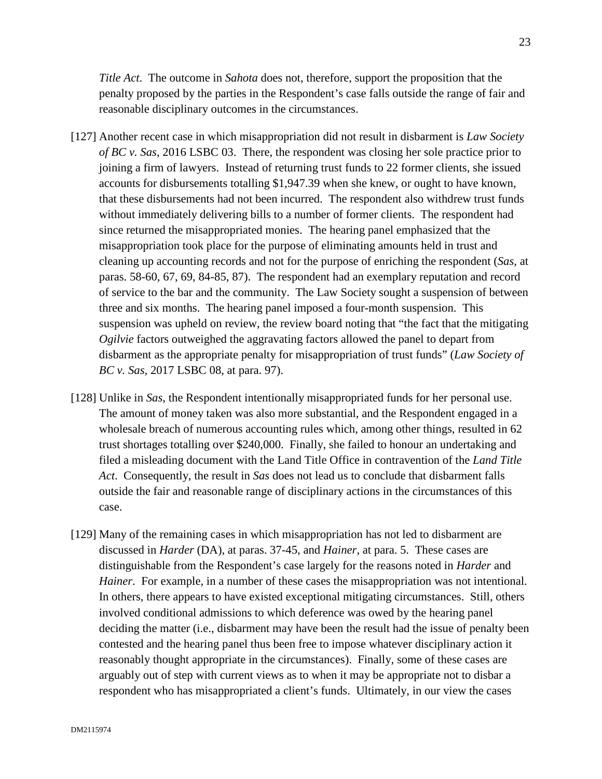*Title Act*. The outcome in *Sahota* does not, therefore, support the proposition that the penalty proposed by the parties in the Respondent's case falls outside the range of fair and reasonable disciplinary outcomes in the circumstances.

- [127] Another recent case in which misappropriation did not result in disbarment is *Law Society of BC v. Sas*, 2016 LSBC 03. There, the respondent was closing her sole practice prior to joining a firm of lawyers. Instead of returning trust funds to 22 former clients, she issued accounts for disbursements totalling \$1,947.39 when she knew, or ought to have known, that these disbursements had not been incurred. The respondent also withdrew trust funds without immediately delivering bills to a number of former clients. The respondent had since returned the misappropriated monies. The hearing panel emphasized that the misappropriation took place for the purpose of eliminating amounts held in trust and cleaning up accounting records and not for the purpose of enriching the respondent (*Sas*, at paras. 58-60, 67, 69, 84-85, 87). The respondent had an exemplary reputation and record of service to the bar and the community. The Law Society sought a suspension of between three and six months. The hearing panel imposed a four-month suspension. This suspension was upheld on review, the review board noting that "the fact that the mitigating *Ogilvie* factors outweighed the aggravating factors allowed the panel to depart from disbarment as the appropriate penalty for misappropriation of trust funds" (*Law Society of BC v. Sas*, 2017 LSBC 08, at para. 97).
- [128] Unlike in *Sas*, the Respondent intentionally misappropriated funds for her personal use. The amount of money taken was also more substantial, and the Respondent engaged in a wholesale breach of numerous accounting rules which, among other things, resulted in 62 trust shortages totalling over \$240,000. Finally, she failed to honour an undertaking and filed a misleading document with the Land Title Office in contravention of the *Land Title Act*. Consequently, the result in *Sas* does not lead us to conclude that disbarment falls outside the fair and reasonable range of disciplinary actions in the circumstances of this case.
- [129] Many of the remaining cases in which misappropriation has not led to disbarment are discussed in *Harder* (DA), at paras. 37-45, and *Hainer*, at para. 5. These cases are distinguishable from the Respondent's case largely for the reasons noted in *Harder* and *Hainer*. For example, in a number of these cases the misappropriation was not intentional. In others, there appears to have existed exceptional mitigating circumstances. Still, others involved conditional admissions to which deference was owed by the hearing panel deciding the matter (i.e., disbarment may have been the result had the issue of penalty been contested and the hearing panel thus been free to impose whatever disciplinary action it reasonably thought appropriate in the circumstances). Finally, some of these cases are arguably out of step with current views as to when it may be appropriate not to disbar a respondent who has misappropriated a client's funds. Ultimately, in our view the cases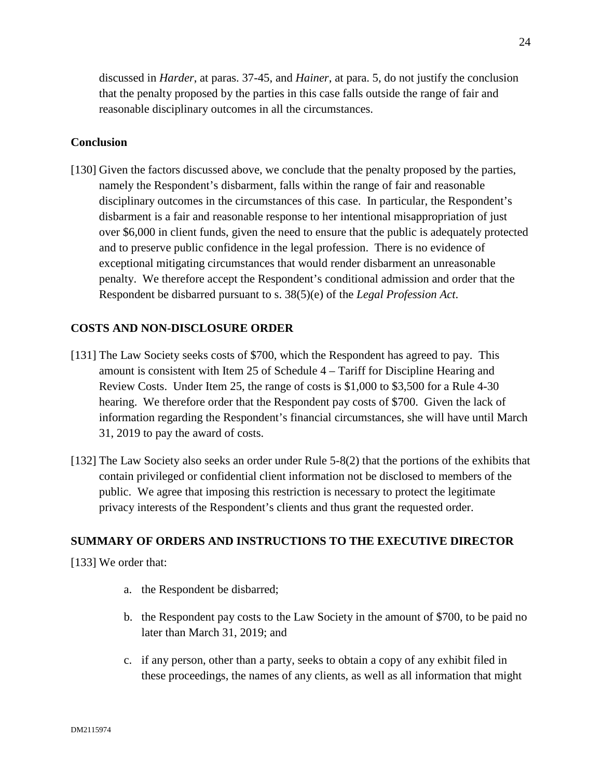discussed in *Harder*, at paras. 37-45, and *Hainer*, at para. 5, do not justify the conclusion that the penalty proposed by the parties in this case falls outside the range of fair and reasonable disciplinary outcomes in all the circumstances.

#### **Conclusion**

[130] Given the factors discussed above, we conclude that the penalty proposed by the parties, namely the Respondent's disbarment, falls within the range of fair and reasonable disciplinary outcomes in the circumstances of this case. In particular, the Respondent's disbarment is a fair and reasonable response to her intentional misappropriation of just over \$6,000 in client funds, given the need to ensure that the public is adequately protected and to preserve public confidence in the legal profession. There is no evidence of exceptional mitigating circumstances that would render disbarment an unreasonable penalty. We therefore accept the Respondent's conditional admission and order that the Respondent be disbarred pursuant to s. 38(5)(e) of the *Legal Profession Act*.

#### **COSTS AND NON-DISCLOSURE ORDER**

- [131] The Law Society seeks costs of \$700, which the Respondent has agreed to pay. This amount is consistent with Item 25 of Schedule 4 – Tariff for Discipline Hearing and Review Costs. Under Item 25, the range of costs is \$1,000 to \$3,500 for a Rule 4-30 hearing. We therefore order that the Respondent pay costs of \$700. Given the lack of information regarding the Respondent's financial circumstances, she will have until March 31, 2019 to pay the award of costs.
- [132] The Law Society also seeks an order under Rule 5-8(2) that the portions of the exhibits that contain privileged or confidential client information not be disclosed to members of the public. We agree that imposing this restriction is necessary to protect the legitimate privacy interests of the Respondent's clients and thus grant the requested order.

## **SUMMARY OF ORDERS AND INSTRUCTIONS TO THE EXECUTIVE DIRECTOR**

[133] We order that:

- a. the Respondent be disbarred;
- b. the Respondent pay costs to the Law Society in the amount of \$700, to be paid no later than March 31, 2019; and
- c. if any person, other than a party, seeks to obtain a copy of any exhibit filed in these proceedings, the names of any clients, as well as all information that might